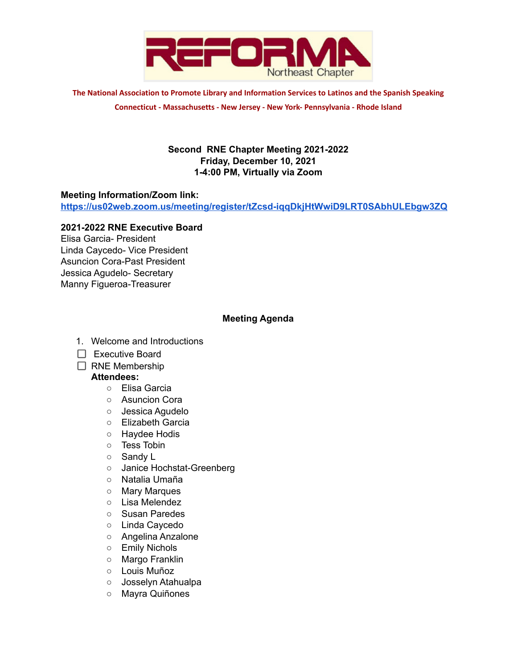

**The National Association to Promote Library and Information Services to Latinos and the Spanish Speaking Connecticut - Massachusetts - New Jersey - New York- Pennsylvania - Rhode Island**

## **Second RNE Chapter Meeting 2021-2022 Friday, December 10, 2021 1-4:00 PM, Virtually via Zoom**

### **Meeting Information/Zoom link:**

**<https://us02web.zoom.us/meeting/register/tZcsd-iqqDkjHtWwiD9LRT0SAbhULEbgw3ZQ>**

### **2021-2022 RNE Executive Board**

Elisa Garcia- President Linda Caycedo- Vice President Asuncion Cora-Past President Jessica Agudelo- Secretary Manny Figueroa-Treasurer

### **Meeting Agenda**

- 1. Welcome and Introductions
- $\Box$  Executive Board
- $\Box$  RNE Membership

### **Attendees:**

- Elisa Garcia
- Asuncion Cora
- Jessica Agudelo
- Elizabeth Garcia
- Haydee Hodis
- Tess Tobin
- Sandy L
- Janice Hochstat-Greenberg
- Natalia Umaña
- Mary Marques
- Lisa Melendez
- Susan Paredes
- Linda Caycedo
- Angelina Anzalone
- Emily Nichols
- Margo Franklin
- Louis Muñoz
- Josselyn Atahualpa
- Mayra Quiñones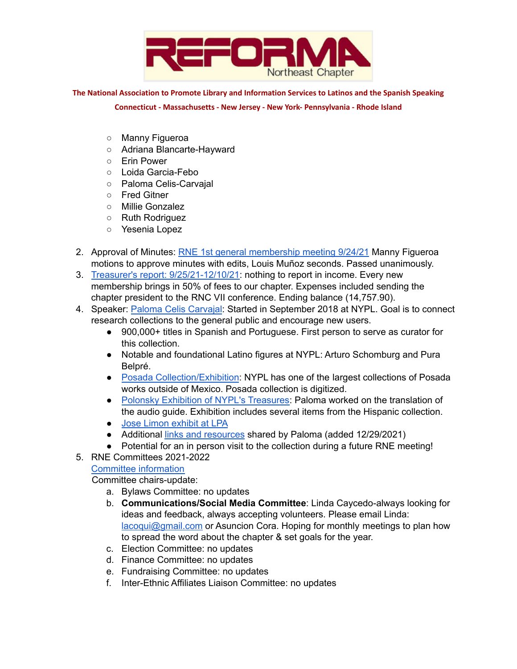

**The National Association to Promote Library and Information Services to Latinos and the Spanish Speaking**

**Connecticut - Massachusetts - New Jersey - New York- Pennsylvania - Rhode Island**

- Manny Figueroa
- Adriana Blancarte-Hayward
- Erin Power
- Loida Garcia-Febo
- Paloma Celis-Carvajal
- Fred Gitner
- Millie Gonzalez
- Ruth Rodriguez
- Yesenia Lopez
- 2. Approval of Minutes: RNE 1st general [membership](https://docs.google.com/document/d/1-RXW9kkL_GDDbV2z3ttRaFTA5lmE2fH7oEj4hkiypZE/edit) meeting 9/24/21 Manny Figueroa motions to approve minutes with edits, Louis Muñoz seconds. Passed unanimously.
- 3. Treasurer's report: [9/25/21-12/10/21:](https://docs.google.com/document/d/1vVu66yYSS6_NFPEj9D9x5KYD5JE7dQro/edit?usp=sharing&ouid=102259252344253132803&rtpof=true&sd=true) nothing to report in income. Every new membership brings in 50% of fees to our chapter. Expenses included sending the chapter president to the RNC VII conference. Ending balance (14,757.90).
- 4. Speaker: Paloma Celis [Carvajal](https://www.nypl.org/staff-profiles/paloma-celis-carbajal): Started in September 2018 at NYPL. Goal is to connect research collections to the general public and encourage new users.
	- 900,000+ titles in Spanish and Portuguese. First person to serve as curator for this collection.
	- Notable and foundational Latino figures at NYPL: Arturo Schomburg and Pura Belpré.
	- Posada [Collection/Exhibition](https://www.nypl.org/events/exhibitions/posada): NYPL has one of the largest collections of Posada works outside of Mexico. Posada collection is digitized.
	- Polonsky Exhibition of NYPL's [Treasures](https://www.nypl.org/spotlight/treasures): Paloma worked on the translation of the audio guide. Exhibition includes several items from the Hispanic collection.
	- Jose Limon [exhibit](https://www.nypl.org/events/exhibitions/mestizo-ambassador) at LPA
	- Additional links and [resources](https://drive.google.com/file/d/18kdha3S0hwWkR2zZY3xhAitZTQ3kLEo8/view?usp=sharing) shared by Paloma (added 12/29/2021)
	- Potential for an in person visit to the collection during a future RNE meeting!
- 5. RNE Committees 2021-2022

# Committee [information](https://www.reformanortheast.org/committees.html)

Committee chairs-update:

- a. Bylaws Committee: no updates
- b. **Communications/Social Media Committee**: Linda Caycedo-always looking for ideas and feedback, always accepting volunteers. Please email Linda: [lacoqui@gmail.com](mailto:lacoqui@gmail.com) or Asuncion Cora. Hoping for monthly meetings to plan how to spread the word about the chapter & set goals for the year.
- c. Election Committee: no updates
- d. Finance Committee: no updates
- e. Fundraising Committee: no updates
- f. Inter-Ethnic Affiliates Liaison Committee: no updates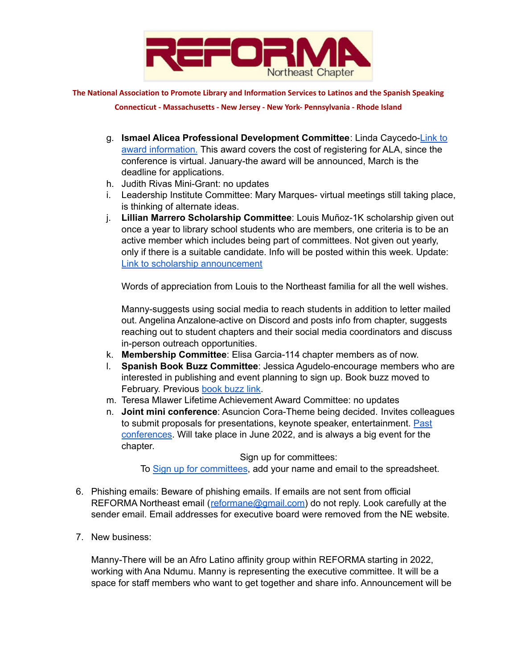

**The National Association to Promote Library and Information Services to Latinos and the Spanish Speaking**

**Connecticut - Massachusetts - New Jersey - New York- Pennsylvania - Rhode Island**

- g. **Ismael Alicea Professional Development Committee**: Linda Caycedo-[Link](https://www.reformanortheast.org/ismael-alicea-professional-development-award.html) to award [information.](https://www.reformanortheast.org/ismael-alicea-professional-development-award.html) This award covers the cost of registering for ALA, since the conference is virtual. January-the award will be announced, March is the deadline for applications.
- h. Judith Rivas Mini-Grant: no updates
- i. Leadership Institute Committee: Mary Marques- virtual meetings still taking place, is thinking of alternate ideas.
- j. **Lillian Marrero Scholarship Committee**: Louis Muñoz-1K scholarship given out once a year to library school students who are members, one criteria is to be an active member which includes being part of committees. Not given out yearly, only if there is a suitable candidate. Info will be posted within this week. Update: Link to scholarship [announcement](https://www.reformanortheast.org/uploads/2/5/3/2/25325115/rne_2022_scholarship_announcement-1-2.pdf)

Words of appreciation from Louis to the Northeast familia for all the well wishes.

Manny-suggests using social media to reach students in addition to letter mailed out. Angelina Anzalone-active on Discord and posts info from chapter, suggests reaching out to student chapters and their social media coordinators and discuss in-person outreach opportunities.

- k. **Membership Committee**: Elisa Garcia-114 chapter members as of now.
- l. **Spanish Book Buzz Committee**: Jessica Agudelo-encourage members who are interested in publishing and event planning to sign up. Book buzz moved to February. Previous [book](https://www.reforma.org/bookbuzz) buzz link.
- m. Teresa Mlawer Lifetime Achievement Award Committee: no updates
- n. **Joint mini conference**: Asuncion Cora-Theme being decided. Invites colleagues to submit proposals for presentations, keynote speaker, entertainment. [Past](https://www.reformanortheast.org/mini-conferences.html) [conferences.](https://www.reformanortheast.org/mini-conferences.html) Will take place in June 2022, and is always a big event for the chapter.

Sign up for committees: To Sign up for [committees](https://docs.google.com/spreadsheets/d/15qN5PCqrEzK0O0ISZzzOXszwozL-7M2ZG4o3kdlmhIA/edit?usp=sharing), add your name and email to the spreadsheet.

- 
- 6. Phishing emails: Beware of phishing emails. If emails are not sent from official REFORMA Northeast email ([reformane@gmail.com](mailto:reformane@gmail.com)) do not reply. Look carefully at the sender email. Email addresses for executive board were removed from the NE website.
- 7. New business:

Manny-There will be an Afro Latino affinity group within REFORMA starting in 2022, working with Ana Ndumu. Manny is representing the executive committee. It will be a space for staff members who want to get together and share info. Announcement will be